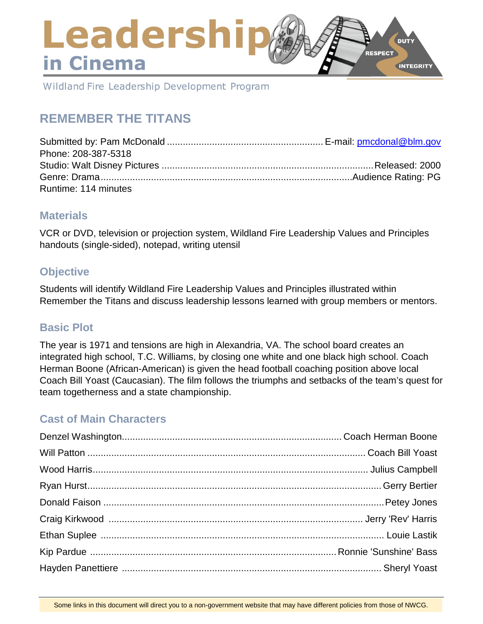# Leadershi **DUTY RESPECT** in Cinema **INTEGRITY**

Wildland Fire Leadership Development Program

# **REMEMBER THE TITANS**

| Phone: 208-387-5318  |  |
|----------------------|--|
|                      |  |
|                      |  |
| Runtime: 114 minutes |  |

# **Materials**

VCR or DVD, television or projection system, Wildland Fire Leadership Values and Principles handouts (single-sided), notepad, writing utensil

# **Objective**

Students will identify Wildland Fire Leadership Values and Principles illustrated within Remember the Titans and discuss leadership lessons learned with group members or mentors.

# **Basic Plot**

The year is 1971 and tensions are high in Alexandria, VA. The school board creates an integrated high school, T.C. Williams, by closing one white and one black high school. Coach Herman Boone (African-American) is given the head football coaching position above local Coach Bill Yoast (Caucasian). The film follows the triumphs and setbacks of the team's quest for team togetherness and a state championship.

# **Cast of Main Characters**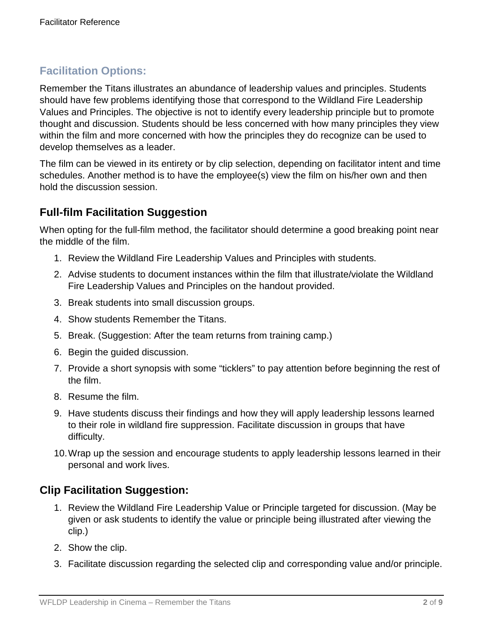# **Facilitation Options:**

Remember the Titans illustrates an abundance of leadership values and principles. Students should have few problems identifying those that correspond to the Wildland Fire Leadership Values and Principles. The objective is not to identify every leadership principle but to promote thought and discussion. Students should be less concerned with how many principles they view within the film and more concerned with how the principles they do recognize can be used to develop themselves as a leader.

The film can be viewed in its entirety or by clip selection, depending on facilitator intent and time schedules. Another method is to have the employee(s) view the film on his/her own and then hold the discussion session.

# **Full-film Facilitation Suggestion**

When opting for the full-film method, the facilitator should determine a good breaking point near the middle of the film.

- 1. Review the Wildland Fire Leadership Values and Principles with students.
- 2. Advise students to document instances within the film that illustrate/violate the Wildland Fire Leadership Values and Principles on the handout provided.
- 3. Break students into small discussion groups.
- 4. Show students Remember the Titans.
- 5. Break. (Suggestion: After the team returns from training camp.)
- 6. Begin the guided discussion.
- 7. Provide a short synopsis with some "ticklers" to pay attention before beginning the rest of the film.
- 8. Resume the film.
- 9. Have students discuss their findings and how they will apply leadership lessons learned to their role in wildland fire suppression. Facilitate discussion in groups that have difficulty.
- 10.Wrap up the session and encourage students to apply leadership lessons learned in their personal and work lives.

# **Clip Facilitation Suggestion:**

- 1. Review the Wildland Fire Leadership Value or Principle targeted for discussion. (May be given or ask students to identify the value or principle being illustrated after viewing the clip.)
- 2. Show the clip.
- 3. Facilitate discussion regarding the selected clip and corresponding value and/or principle.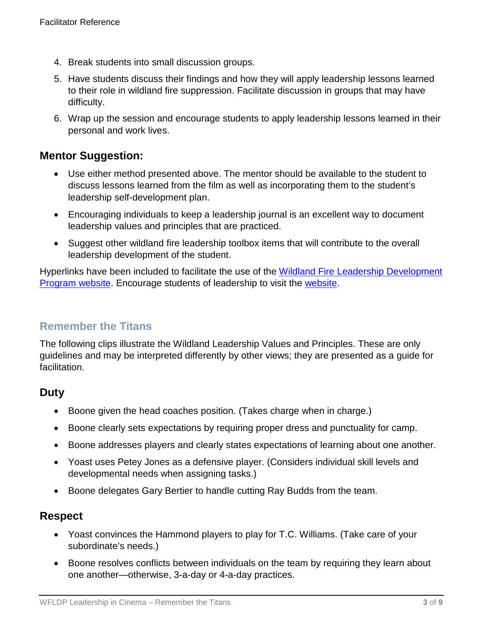- 4. Break students into small discussion groups.
- 5. Have students discuss their findings and how they will apply leadership lessons learned to their role in wildland fire suppression. Facilitate discussion in groups that may have difficulty.
- 6. Wrap up the session and encourage students to apply leadership lessons learned in their personal and work lives.

# **Mentor Suggestion:**

- Use either method presented above. The mentor should be available to the student to discuss lessons learned from the film as well as incorporating them to the student's leadership self-development plan.
- Encouraging individuals to keep a leadership journal is an excellent way to document leadership values and principles that are practiced.
- Suggest other wildland fire leadership toolbox items that will contribute to the overall leadership development of the student.

Hyperlinks have been included to facilitate the use of the Wildland Fire Leadership Development [Program website.](https://www.fireleadership.gov/) Encourage students of leadership to visit the [website.](https://www.fireleadership.gov/)

# **Remember the Titans**

The following clips illustrate the Wildland Leadership Values and Principles. These are only guidelines and may be interpreted differently by other views; they are presented as a guide for facilitation.

# **Duty**

- Boone given the head coaches position. (Takes charge when in charge.)
- Boone clearly sets expectations by requiring proper dress and punctuality for camp.
- Boone addresses players and clearly states expectations of learning about one another.
- Yoast uses Petey Jones as a defensive player. (Considers individual skill levels and developmental needs when assigning tasks.)
- Boone delegates Gary Bertier to handle cutting Ray Budds from the team.

# **Respect**

- Yoast convinces the Hammond players to play for T.C. Williams. (Take care of your subordinate's needs.)
- Boone resolves conflicts between individuals on the team by requiring they learn about one another—otherwise, 3-a-day or 4-a-day practices.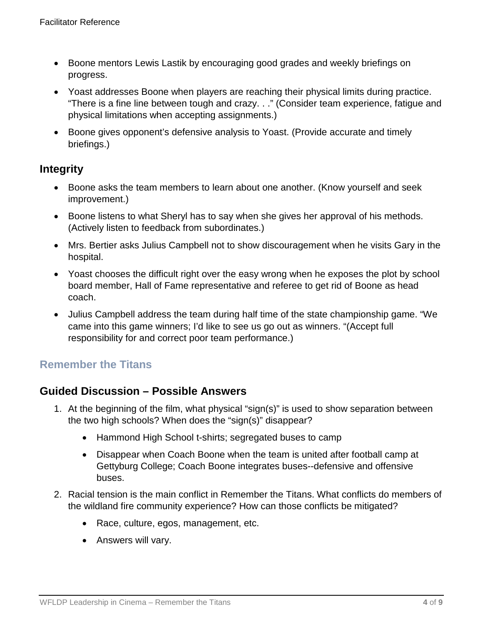- Boone mentors Lewis Lastik by encouraging good grades and weekly briefings on progress.
- Yoast addresses Boone when players are reaching their physical limits during practice. "There is a fine line between tough and crazy. . ." (Consider team experience, fatigue and physical limitations when accepting assignments.)
- Boone gives opponent's defensive analysis to Yoast. (Provide accurate and timely briefings.)

# **Integrity**

- Boone asks the team members to learn about one another. (Know yourself and seek improvement.)
- Boone listens to what Sheryl has to say when she gives her approval of his methods. (Actively listen to feedback from subordinates.)
- Mrs. Bertier asks Julius Campbell not to show discouragement when he visits Gary in the hospital.
- Yoast chooses the difficult right over the easy wrong when he exposes the plot by school board member, Hall of Fame representative and referee to get rid of Boone as head coach.
- Julius Campbell address the team during half time of the state championship game. "We came into this game winners; I'd like to see us go out as winners. "(Accept full responsibility for and correct poor team performance.)

# **Remember the Titans**

# **Guided Discussion – Possible Answers**

- 1. At the beginning of the film, what physical "sign(s)" is used to show separation between the two high schools? When does the "sign(s)" disappear?
	- Hammond High School t-shirts; segregated buses to camp
	- Disappear when Coach Boone when the team is united after football camp at Gettyburg College; Coach Boone integrates buses--defensive and offensive buses.
- 2. Racial tension is the main conflict in Remember the Titans. What conflicts do members of the wildland fire community experience? How can those conflicts be mitigated?
	- Race, culture, egos, management, etc.
	- Answers will vary.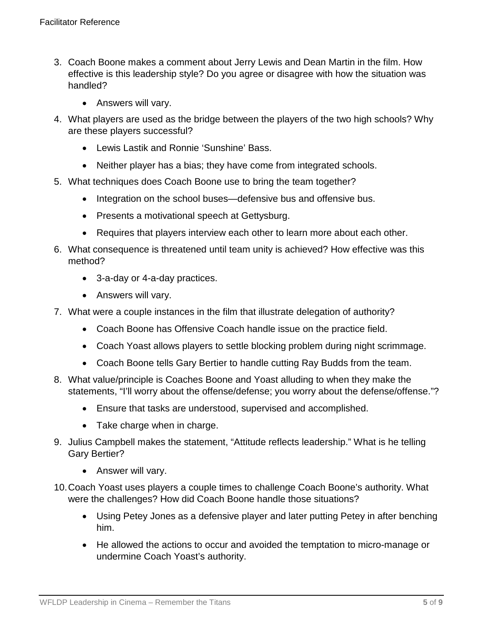- 3. Coach Boone makes a comment about Jerry Lewis and Dean Martin in the film. How effective is this leadership style? Do you agree or disagree with how the situation was handled?
	- Answers will vary.
- 4. What players are used as the bridge between the players of the two high schools? Why are these players successful?
	- Lewis Lastik and Ronnie 'Sunshine' Bass.
	- Neither player has a bias; they have come from integrated schools.
- 5. What techniques does Coach Boone use to bring the team together?
	- Integration on the school buses—defensive bus and offensive bus.
	- Presents a motivational speech at Gettysburg.
	- Requires that players interview each other to learn more about each other.
- 6. What consequence is threatened until team unity is achieved? How effective was this method?
	- 3-a-day or 4-a-day practices.
	- Answers will vary.
- 7. What were a couple instances in the film that illustrate delegation of authority?
	- Coach Boone has Offensive Coach handle issue on the practice field.
	- Coach Yoast allows players to settle blocking problem during night scrimmage.
	- Coach Boone tells Gary Bertier to handle cutting Ray Budds from the team.
- 8. What value/principle is Coaches Boone and Yoast alluding to when they make the statements, "I'll worry about the offense/defense; you worry about the defense/offense."?
	- Ensure that tasks are understood, supervised and accomplished.
	- Take charge when in charge.
- 9. Julius Campbell makes the statement, "Attitude reflects leadership." What is he telling Gary Bertier?
	- Answer will vary.
- 10.Coach Yoast uses players a couple times to challenge Coach Boone's authority. What were the challenges? How did Coach Boone handle those situations?
	- Using Petey Jones as a defensive player and later putting Petey in after benching him.
	- He allowed the actions to occur and avoided the temptation to micro-manage or undermine Coach Yoast's authority.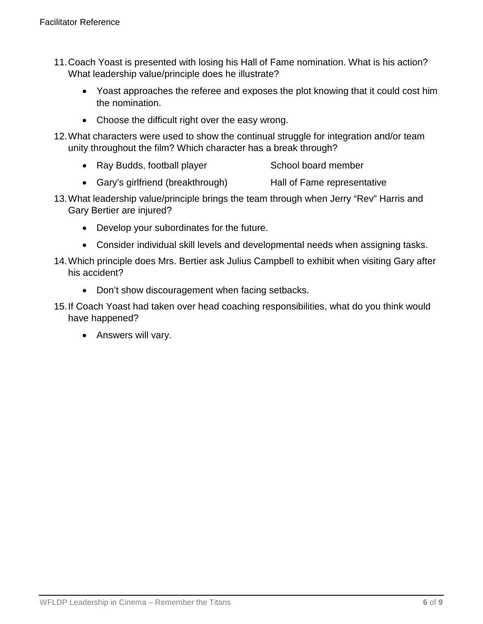- 11.Coach Yoast is presented with losing his Hall of Fame nomination. What is his action? What leadership value/principle does he illustrate?
	- Yoast approaches the referee and exposes the plot knowing that it could cost him the nomination.
	- Choose the difficult right over the easy wrong.
- 12.What characters were used to show the continual struggle for integration and/or team unity throughout the film? Which character has a break through?
	- Ray Budds, football player School board member
	- Gary's girlfriend (breakthrough) Hall of Fame representative
- 13.What leadership value/principle brings the team through when Jerry "Rev" Harris and Gary Bertier are injured?
	- Develop your subordinates for the future.
	- Consider individual skill levels and developmental needs when assigning tasks.
- 14.Which principle does Mrs. Bertier ask Julius Campbell to exhibit when visiting Gary after his accident?
	- Don't show discouragement when facing setbacks.
- 15.If Coach Yoast had taken over head coaching responsibilities, what do you think would have happened?
	- Answers will vary.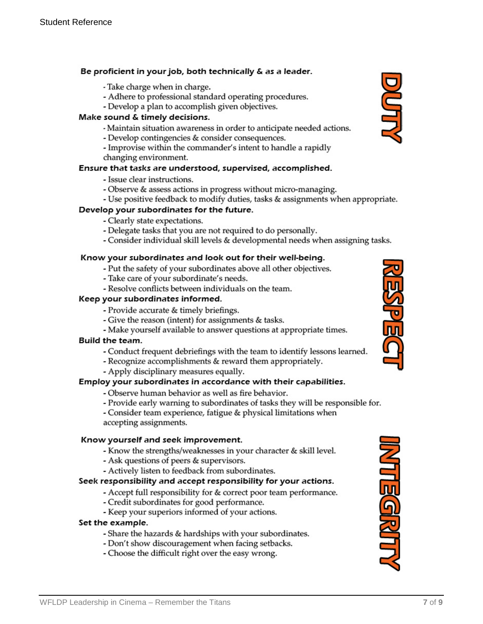#### Be proficient in your job, both technically & as a leader.

- Take charge when in charge.
- Adhere to professional standard operating procedures.
- Develop a plan to accomplish given objectives.

#### Make sound & timely decisions.

- Maintain situation awareness in order to anticipate needed actions.
- Develop contingencies & consider consequences.
- Improvise within the commander's intent to handle a rapidly changing environment.

#### Ensure that tasks are understood, supervised, accomplished.

- Issue clear instructions.
- Observe & assess actions in progress without micro-managing.
- Use positive feedback to modify duties, tasks & assignments when appropriate.

#### Develop your subordinates for the future.

- Clearly state expectations.
- Delegate tasks that you are not required to do personally.
- Consider individual skill levels & developmental needs when assigning tasks.

#### Know your subordinates and look out for their well-being.

- Put the safety of your subordinates above all other objectives.
- Take care of your subordinate's needs.
- Resolve conflicts between individuals on the team.

#### Keep your subordinates informed.

- Provide accurate & timely briefings.
- Give the reason (intent) for assignments & tasks.
- Make yourself available to answer questions at appropriate times.

#### Build the team.

- Conduct frequent debriefings with the team to identify lessons learned.
- Recognize accomplishments & reward them appropriately.
- Apply disciplinary measures equally.

#### Employ your subordinates in accordance with their capabilities.

- Observe human behavior as well as fire behavior.
- Provide early warning to subordinates of tasks they will be responsible for.

- Consider team experience, fatigue & physical limitations when accepting assignments.

#### Know yourself and seek improvement.

- Know the strengths/weaknesses in your character & skill level.
- Ask questions of peers & supervisors.
- Actively listen to feedback from subordinates.

#### Seek responsibility and accept responsibility for your actions.

- Accept full responsibility for & correct poor team performance.
- Credit subordinates for good performance.
- Keep your superiors informed of your actions.

#### Set the example.

- Share the hazards & hardships with your subordinates.
- Don't show discouragement when facing setbacks.
- Choose the difficult right over the easy wrong.





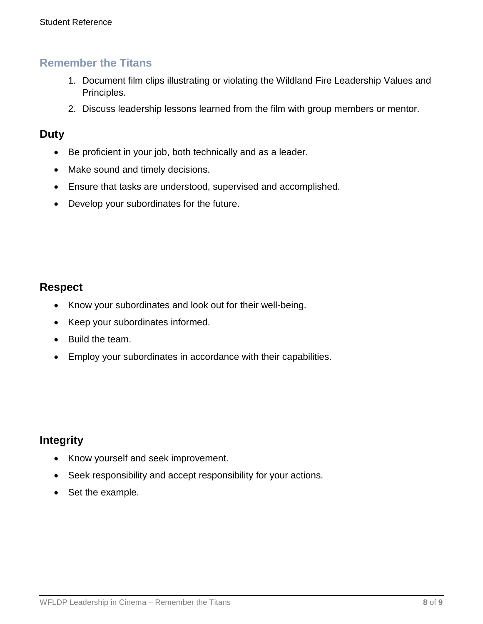### **Remember the Titans**

- 1. Document film clips illustrating or violating the Wildland Fire Leadership Values and Principles.
- 2. Discuss leadership lessons learned from the film with group members or mentor.

### **Duty**

- Be proficient in your job, both technically and as a leader.
- Make sound and timely decisions.
- Ensure that tasks are understood, supervised and accomplished.
- Develop your subordinates for the future.

# **Respect**

- Know your subordinates and look out for their well-being.
- Keep your subordinates informed.
- Build the team.
- Employ your subordinates in accordance with their capabilities.

### **Integrity**

- Know yourself and seek improvement.
- Seek responsibility and accept responsibility for your actions.
- Set the example.